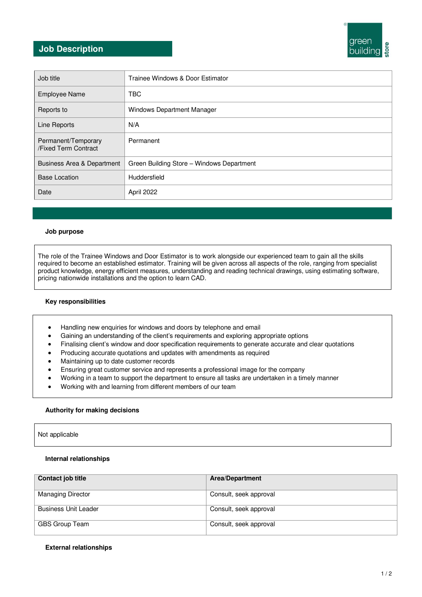# green building

### **Job Description**

| Job title                                   | Trainee Windows & Door Estimator          |
|---------------------------------------------|-------------------------------------------|
| <b>Employee Name</b>                        | <b>TBC</b>                                |
| Reports to                                  | Windows Department Manager                |
| Line Reports                                | N/A                                       |
| Permanent/Temporary<br>/Fixed Term Contract | Permanent                                 |
| Business Area & Department                  | Green Building Store - Windows Department |
| <b>Base Location</b>                        | Huddersfield                              |
| Date                                        | April 2022                                |

### **Job purpose**

The role of the Trainee Windows and Door Estimator is to work alongside our experienced team to gain all the skills required to become an established estimator. Training will be given across all aspects of the role, ranging from specialist product knowledge, energy efficient measures, understanding and reading technical drawings, using estimating software, pricing nationwide installations and the option to learn CAD.

### **Key responsibilities**

- Handling new enquiries for windows and doors by telephone and email
- Gaining an understanding of the client's requirements and exploring appropriate options
- Finalising client's window and door specification requirements to generate accurate and clear quotations
- Producing accurate quotations and updates with amendments as required
- Maintaining up to date customer records
- Ensuring great customer service and represents a professional image for the company
- Working in a team to support the department to ensure all tasks are undertaken in a timely manner
- Working with and learning from different members of our team

### **Authority for making decisions**

### **Internal relationships**

| Contact job title           | <b>Area/Department</b> |
|-----------------------------|------------------------|
| <b>Managing Director</b>    | Consult, seek approval |
| <b>Business Unit Leader</b> | Consult, seek approval |
| GBS Group Team              | Consult, seek approval |

### **External relationships**